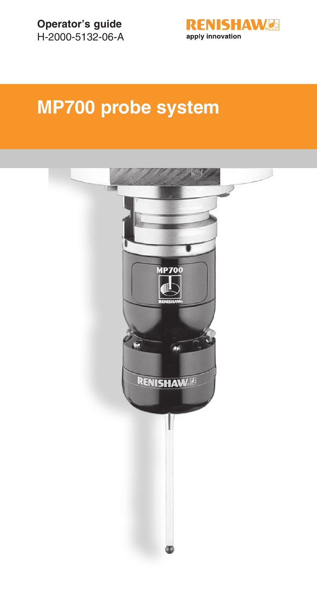

# **MP700 probe system**

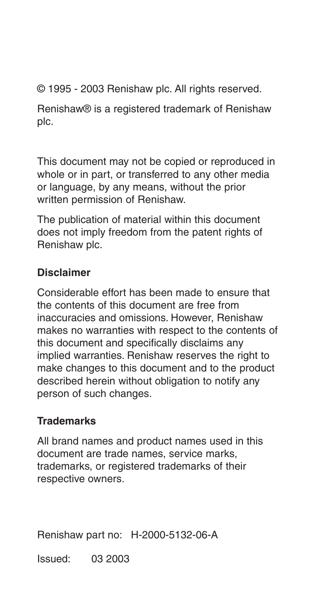© 1995 - 2003 Renishaw plc. All rights reserved.

Renishaw® is a registered trademark of Renishaw plc.

This document may not be copied or reproduced in whole or in part, or transferred to any other media or language, by any means, without the prior written permission of Renishaw.

The publication of material within this document does not imply freedom from the patent rights of Renishaw plc.

#### **Disclaimer**

Considerable effort has been made to ensure that the contents of this document are free from inaccuracies and omissions. However, Renishaw makes no warranties with respect to the contents of this document and specifically disclaims any implied warranties. Renishaw reserves the right to make changes to this document and to the product described herein without obligation to notify any person of such changes.

#### **Trademarks**

All brand names and product names used in this document are trade names, service marks, trademarks, or registered trademarks of their respective owners.

Renishaw part no: H-2000-5132-06-A

Issued: 03 2003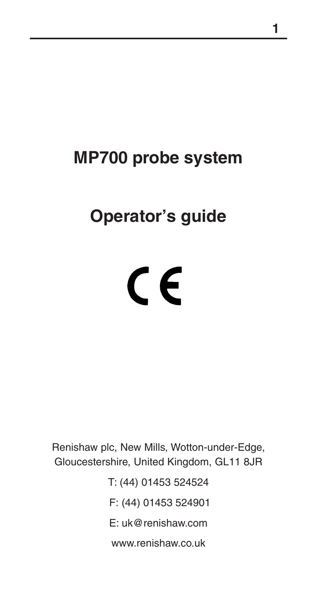# **MP700 probe system**

# **Operator's guide**

# $C \in$

Renishaw plc, New Mills, Wotton-under-Edge, Gloucestershire, United Kingdom, GL11 8JR

> T: (44) 01453 524524 F: (44) 01453 524901 E: uk@renishaw.com www.renishaw.co.uk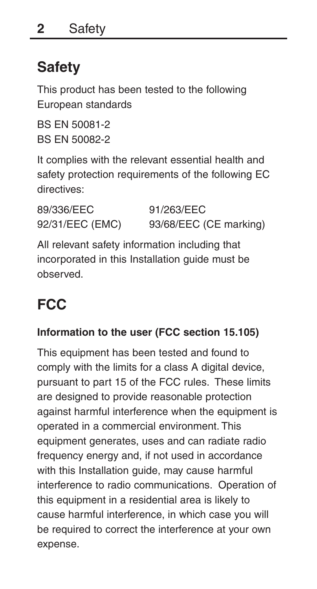# **Safety**

This product has been tested to the following European standards

BS EN 50081-2 BS EN 50082-2

It complies with the relevant essential health and safety protection requirements of the following EC directives:

| 89/336/EEC      | 91/263/EEC             |
|-----------------|------------------------|
| 92/31/EEC (EMC) | 93/68/EEC (CE marking) |

All relevant safety information including that incorporated in this Installation guide must be observed.

# **FCC**

#### **Information to the user (FCC section 15.105)**

This equipment has been tested and found to comply with the limits for a class A digital device, pursuant to part 15 of the FCC rules. These limits are designed to provide reasonable protection against harmful interference when the equipment is operated in a commercial environment. This equipment generates, uses and can radiate radio frequency energy and, if not used in accordance with this Installation guide, may cause harmful interference to radio communications. Operation of this equipment in a residential area is likely to cause harmful interference, in which case you will be required to correct the interference at your own expense.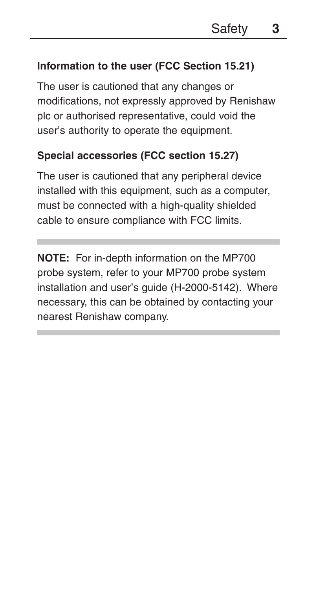#### **Information to the user (FCC Section 15.21)**

The user is cautioned that any changes or modifications, not expressly approved by Renishaw plc or authorised representative, could void the user's authority to operate the equipment.

#### **Special accessories (FCC section 15.27)**

The user is cautioned that any peripheral device installed with this equipment, such as a computer, must be connected with a high-quality shielded cable to ensure compliance with FCC limits.

**NOTE:** For in-depth information on the MP700 probe system, refer to your MP700 probe system installation and user's guide (H-2000-5142). Where necessary, this can be obtained by contacting your nearest Renishaw company.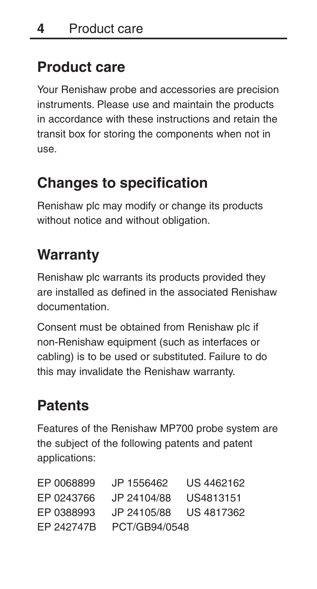# **Product care**

Your Renishaw probe and accessories are precision instruments. Please use and maintain the products in accordance with these instructions and retain the transit box for storing the components when not in use.

# **Changes to specification**

Renishaw plc may modify or change its products without notice and without obligation.

# **Warranty**

Renishaw plc warrants its products provided they are installed as defined in the associated Renishaw documentation.

Consent must be obtained from Renishaw plc if non-Renishaw equipment (such as interfaces or cabling) is to be used or substituted. Failure to do this may invalidate the Renishaw warranty.

# **Patents**

Features of the Renishaw MP700 probe system are the subject of the following patents and patent applications:

| FP 0068899 | JP 1556462    | US 4462162 |
|------------|---------------|------------|
| FP 0243766 | JP 24104/88   | US4813151  |
| FP 0388993 | JP 24105/88   | US 4817362 |
| FP 242747B | PCT/GB94/0548 |            |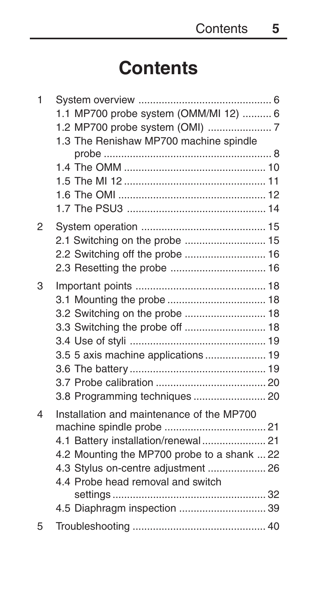# **Contents**

| 1                        |                                             |  |
|--------------------------|---------------------------------------------|--|
|                          | 1.1 MP700 probe system (OMM/MI 12)  6       |  |
|                          |                                             |  |
|                          | 1.3 The Renishaw MP700 machine spindle      |  |
|                          |                                             |  |
|                          |                                             |  |
|                          |                                             |  |
|                          |                                             |  |
|                          |                                             |  |
| 2                        |                                             |  |
|                          |                                             |  |
|                          |                                             |  |
|                          |                                             |  |
| 3                        |                                             |  |
|                          |                                             |  |
|                          | 3.2 Switching on the probe  18              |  |
|                          | 3.3 Switching the probe off  18             |  |
|                          |                                             |  |
|                          | 3.5 5 axis machine applications  19         |  |
|                          |                                             |  |
|                          |                                             |  |
|                          | 3.8 Programming techniques  20              |  |
| $\overline{\mathcal{L}}$ | Installation and maintenance of the MP700   |  |
|                          |                                             |  |
|                          | 4.1 Battery installation/renewal  21        |  |
|                          | 4.2 Mounting the MP700 probe to a shank  22 |  |
|                          | 4.3 Stylus on-centre adjustment  26         |  |
|                          | 4.4 Probe head removal and switch           |  |
|                          |                                             |  |
|                          | 4.5 Diaphragm inspection  39                |  |
| 5                        |                                             |  |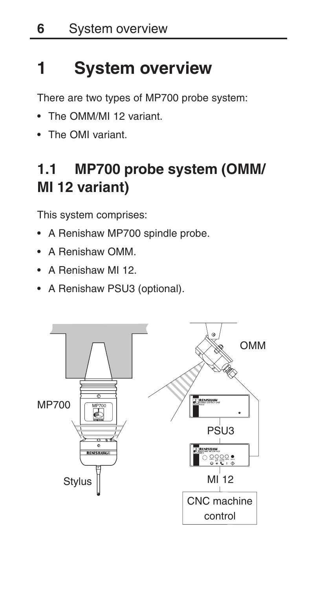# **1 System overview**

There are two types of MP700 probe system:

- The OMM/MI 12 variant.
- The OMI variant.

# **1.1 MP700 probe system (OMM/ MI 12 variant)**

This system comprises:

- A Renishaw MP700 spindle probe.
- A Renishaw OMM.
- A Renishaw MI 12.
- A Renishaw PSU3 (optional).

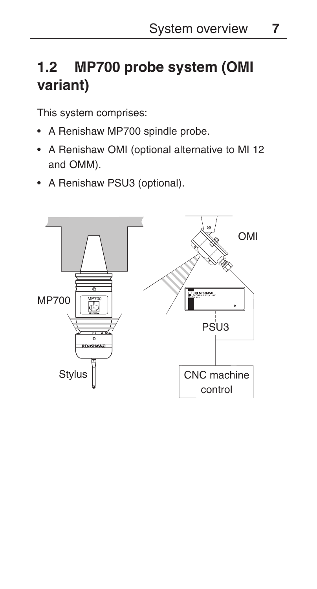# **1.2 MP700 probe system (OMI variant)**

This system comprises:

- A Renishaw MP700 spindle probe.
- A Renishaw OMI (optional alternative to MI 12 and OMM).
- A Renishaw PSU3 (optional).

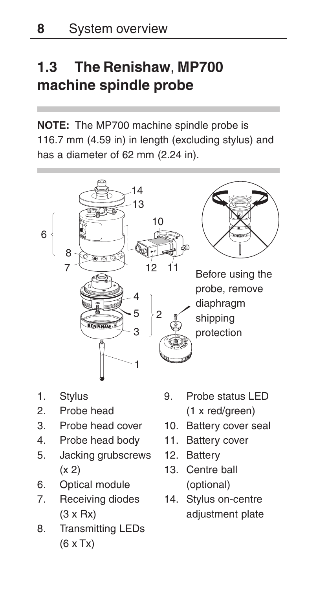# **1.3 The Renishaw**, **MP700 machine spindle probe**

**NOTE:** The MP700 machine spindle probe is 116.7 mm (4.59 in) in length (excluding stylus) and has a diameter of 62 mm (2.24 in).



- 1. Stylus
- 2. Probe head
- 3. Probe head cover
- 4. Probe head body
- 5. Jacking grubscrews (x 2)
- 6. Optical module
- 7. Receiving diodes (3 x Rx)
- 8. Transmitting LEDs (6 x Tx)
- 9. Probe status LED (1 x red/green)
- 10. Battery cover seal
- 11. Battery cover
- 12. Battery
- 13. Centre ball (optional)
- 14. Stylus on-centre adjustment plate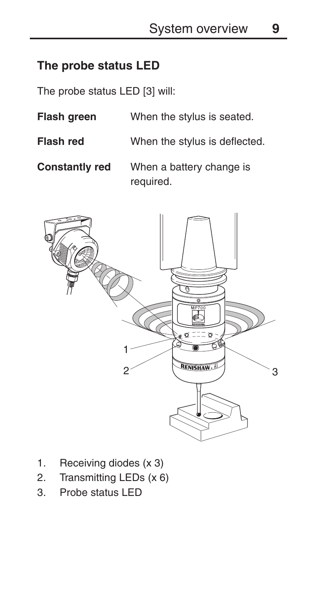#### **The probe status LED**

The probe status LED [3] will:

- **Flash green** When the stylus is seated.
- **Flash red** When the stylus is deflected.

**Constantly red** When a battery change is required.



- 1. Receiving diodes (x 3)
- 2. Transmitting LEDs (x 6)
- 3. Probe status LED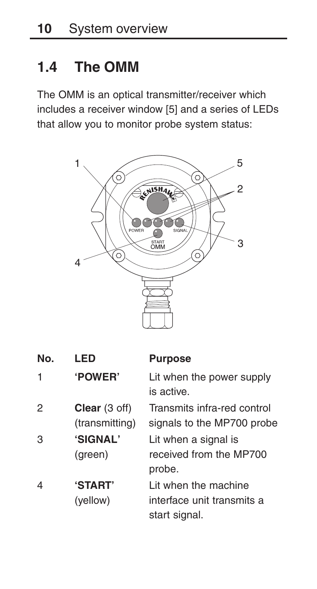# **1.4 The OMM**

The OMM is an optical transmitter/receiver which includes a receiver window [5] and a series of LEDs that allow you to monitor probe system status:



| No. | LED                             | <b>Purpose</b>                                                       |
|-----|---------------------------------|----------------------------------------------------------------------|
| 1   | 'POWER'                         | Lit when the power supply<br>is active.                              |
| 2   | Clear (3 off)<br>(transmitting) | Transmits infra-red control<br>signals to the MP700 probe            |
| 3   | 'SIGNAL'<br>(green)             | Lit when a signal is<br>received from the MP700<br>probe.            |
| 4   | <b>'START'</b><br>(yellow)      | I it when the machine<br>interface unit transmits a<br>start signal. |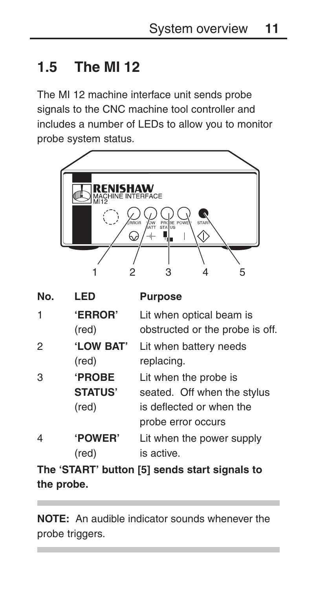### **1.5 The MI 12**

The MI 12 machine interface unit sends probe signals to the CNC machine tool controller and includes a number of LEDs to allow you to monitor probe system status.



| LED            | <b>Purpose</b>                  |
|----------------|---------------------------------|
| <b>'ERROR'</b> | Lit when optical beam is        |
| (red)          | obstructed or the probe is off. |
| 'LOW BAT'      | Lit when battery needs          |
| (red)          | replacing.                      |
| <b>PROBE</b>   | Lit when the probe is           |
| <b>STATUS'</b> | seated. Off when the stylus     |
| (red)          | is deflected or when the        |
|                | probe error occurs              |
| <b>POWER</b>   | Lit when the power supply       |
| (red)          | is active.                      |
|                |                                 |

**The 'START' button [5] sends start signals to the probe.**

**NOTE:** An audible indicator sounds whenever the probe triggers.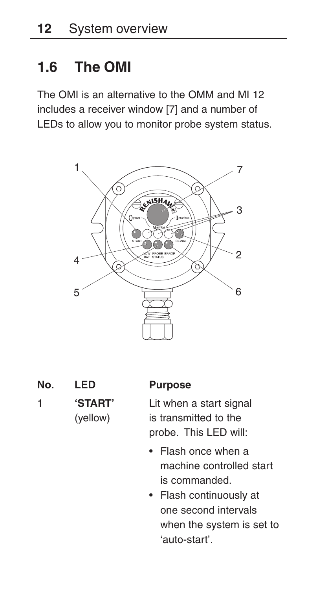### **1.6 The OMI**

The OMI is an alternative to the OMM and MI 12 includes a receiver window [7] and a number of LEDs to allow you to monitor probe system status.



- **No. LED Purpose**
- 

1 **'START'** Lit when a start signal (yellow) is transmitted to the probe. This LED will:

- Flash once when a machine controlled start is commanded.
- Flash continuously at one second intervals when the system is set to 'auto-start'.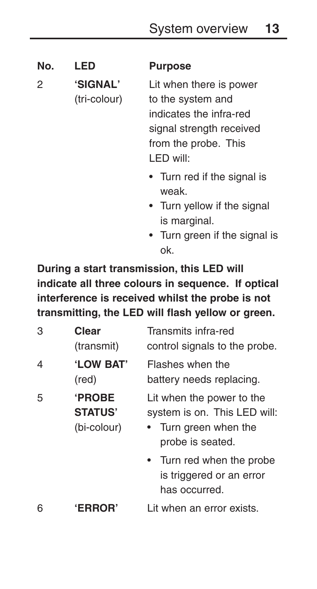**No. LED Purpose** 2 **'SIGNAL'** Lit when there is power (tri-colour) to the system and indicates the infra-red signal strength received from the probe. This LED will: • Turn red if the signal is

- weak. • Turn yellow if the signal is marginal.
- Turn green if the signal is ok.

**During a start transmission, this LED will indicate all three colours in sequence. If optical interference is received whilst the probe is not transmitting, the LED will flash yellow or green.**

| 3 | Clear<br>(transmit)                           | Transmits infra-red<br>control signals to the probe.                                                   |
|---|-----------------------------------------------|--------------------------------------------------------------------------------------------------------|
| 4 | 'LOW BAT'<br>(red)                            | Flashes when the<br>battery needs replacing.                                                           |
| 5 | <b>PROBE</b><br><b>STATUS'</b><br>(bi-colour) | Lit when the power to the<br>system is on. This LED will:<br>• Turn green when the<br>probe is seated. |
|   |                                               | • Turn red when the probe<br>is triggered or an error<br>has occurred.                                 |
| 6 | <b>'ERROR</b> '                               | Lit when an error exists.                                                                              |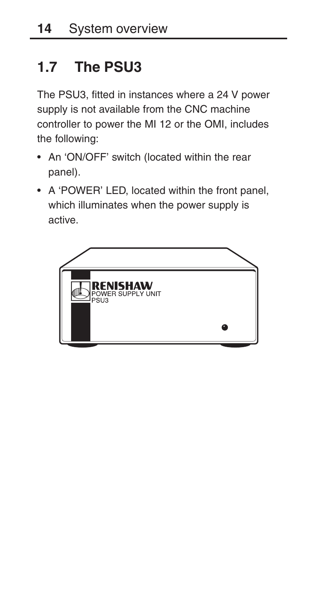# **1.7 The PSU3**

The PSU3, fitted in instances where a 24 V power supply is not available from the CNC machine controller to power the MI 12 or the OMI, includes the following:

- An 'ON/OFF' switch (located within the rear panel).
- A 'POWER' LED, located within the front panel, which illuminates when the power supply is active.

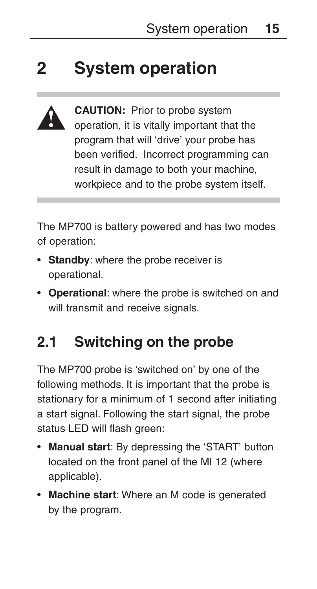# **2 System operation**



**CAUTION:** Prior to probe system operation, it is vitally important that the program that will 'drive' your probe has been verified. Incorrect programming can result in damage to both your machine, workpiece and to the probe system itself.

The MP700 is battery powered and has two modes of operation:

- **Standby**: where the probe receiver is operational.
- **Operational**: where the probe is switched on and will transmit and receive signals.

# **2.1 Switching on the probe**

The MP700 probe is 'switched on' by one of the following methods. It is important that the probe is stationary for a minimum of 1 second after initiating a start signal. Following the start signal, the probe status LED will flash green:

- **Manual start**: By depressing the 'START' button located on the front panel of the MI 12 (where applicable).
- **Machine start**: Where an M code is generated by the program.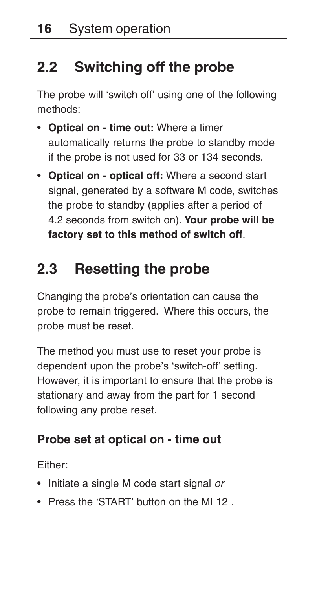# **2.2 Switching off the probe**

The probe will 'switch off' using one of the following methods:

- **Optical on time out:** Where a timer automatically returns the probe to standby mode if the probe is not used for 33 or 134 seconds.
- **Optical on optical off:** Where a second start signal, generated by a software M code, switches the probe to standby (applies after a period of 4.2 seconds from switch on). **Your probe will be factory set to this method of switch off**.

# **2.3 Resetting the probe**

Changing the probe's orientation can cause the probe to remain triggered. Where this occurs, the probe must be reset.

The method you must use to reset your probe is dependent upon the probe's 'switch-off' setting. However, it is important to ensure that the probe is stationary and away from the part for 1 second following any probe reset.

### **Probe set at optical on - time out**

Either:

- Initiate a single M code start signal or
- Press the 'START' button on the MI 12 .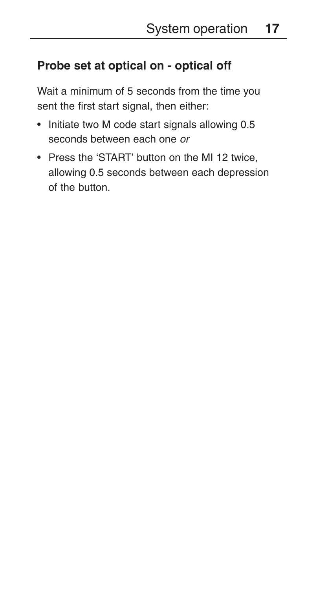### **Probe set at optical on - optical off**

Wait a minimum of 5 seconds from the time you sent the first start signal, then either:

- Initiate two M code start signals allowing 0.5 seconds between each one or
- Press the 'START' button on the MI 12 twice, allowing 0.5 seconds between each depression of the button.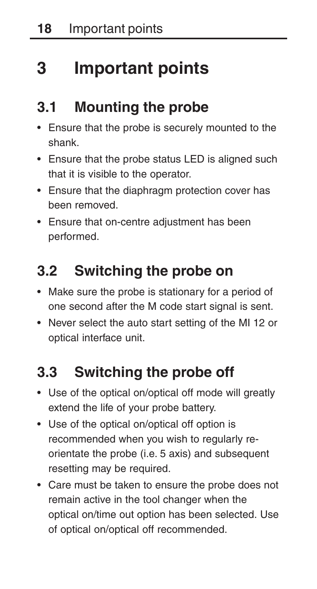# **3 Important points**

# **3.1 Mounting the probe**

- Ensure that the probe is securely mounted to the shank.
- Ensure that the probe status LED is aligned such that it is visible to the operator.
- Ensure that the diaphragm protection cover has been removed.
- Ensure that on-centre adjustment has been performed.

# **3.2 Switching the probe on**

- Make sure the probe is stationary for a period of one second after the M code start signal is sent.
- Never select the auto start setting of the MI 12 or optical interface unit.

# **3.3 Switching the probe off**

- Use of the optical on/optical off mode will greatly extend the life of your probe battery.
- Use of the optical on/optical off option is recommended when you wish to regularly reorientate the probe (i.e. 5 axis) and subsequent resetting may be required.
- Care must be taken to ensure the probe does not remain active in the tool changer when the optical on/time out option has been selected. Use of optical on/optical off recommended.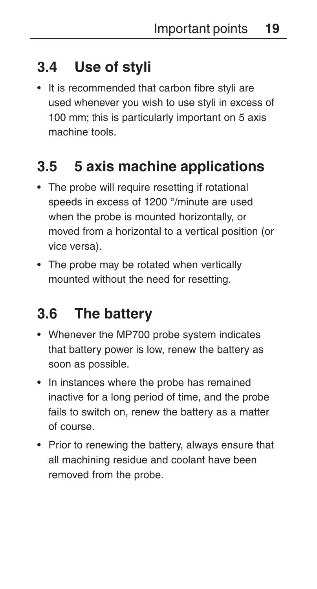# **3.4 Use of styli**

• It is recommended that carbon fibre styli are used whenever you wish to use styli in excess of 100 mm; this is particularly important on 5 axis machine tools.

# **3.5 5 axis machine applications**

- The probe will require resetting if rotational speeds in excess of 1200 °/minute are used when the probe is mounted horizontally, or moved from a horizontal to a vertical position (or vice versa).
- The probe may be rotated when vertically mounted without the need for resetting.

# **3.6 The battery**

- Whenever the MP700 probe system indicates that battery power is low, renew the battery as soon as possible.
- In instances where the probe has remained inactive for a long period of time, and the probe fails to switch on, renew the battery as a matter of course.
- Prior to renewing the battery, always ensure that all machining residue and coolant have been removed from the probe.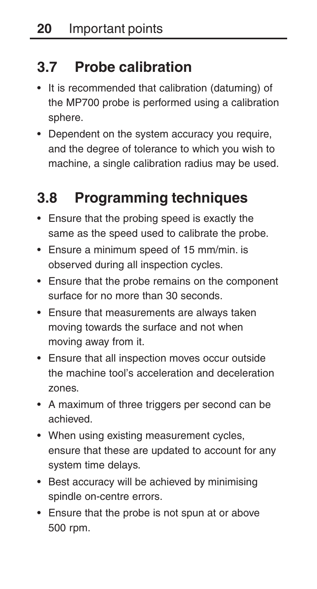# **3.7 Probe calibration**

- It is recommended that calibration (datuming) of the MP700 probe is performed using a calibration sphere.
- Dependent on the system accuracy you require, and the degree of tolerance to which you wish to machine, a single calibration radius may be used.

# **3.8 Programming techniques**

- Ensure that the probing speed is exactly the same as the speed used to calibrate the probe.
- Ensure a minimum speed of 15 mm/min. is observed during all inspection cycles.
- Ensure that the probe remains on the component surface for no more than 30 seconds.
- Ensure that measurements are always taken moving towards the surface and not when moving away from it.
- Ensure that all inspection moves occur outside the machine tool's acceleration and deceleration zones.
- A maximum of three triggers per second can be achieved.
- When using existing measurement cycles, ensure that these are updated to account for any system time delays.
- Best accuracy will be achieved by minimising spindle on-centre errors.
- Ensure that the probe is not spun at or above 500 rpm.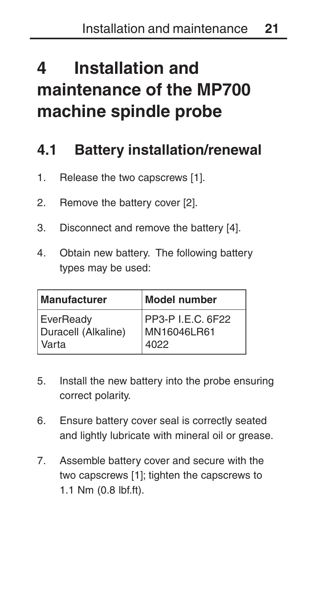# **4 Installation and maintenance of the MP700 machine spindle probe**

### **4.1 Battery installation/renewal**

- 1. Release the two capscrews [1].
- 2. Remove the battery cover [2].
- 3. Disconnect and remove the battery [4].
- 4. Obtain new battery. The following battery types may be used:

| Manufacturer        | Model number      |
|---------------------|-------------------|
| EverReady           | PP3-P I.E.C. 6F22 |
| Duracell (Alkaline) | MN16046LR61       |
| Varta               | 4022              |

- 5. Install the new battery into the probe ensuring correct polarity.
- 6. Ensure battery cover seal is correctly seated and lightly lubricate with mineral oil or grease.
- 7. Assemble battery cover and secure with the two capscrews [1]; tighten the capscrews to 1.1 Nm (0.8 lbf.ft).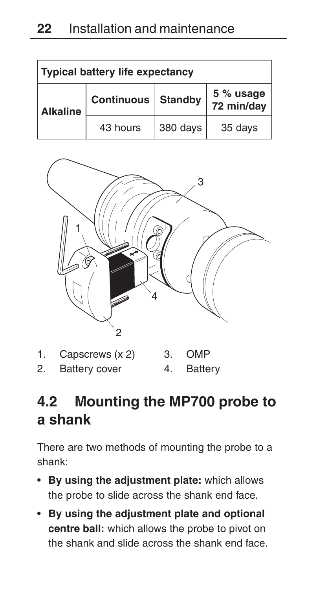| <b>Typical battery life expectancy</b> |                   |                |                         |
|----------------------------------------|-------------------|----------------|-------------------------|
| <b>Alkaline</b>                        | <b>Continuous</b> | <b>Standby</b> | 5 % usage<br>72 min/day |
|                                        | 43 hours          | 380 days       | 35 days                 |



1. Capscrews (x 2) 2. Battery cover 3. OMP 4. Battery

# **4.2 Mounting the MP700 probe to a shank**

There are two methods of mounting the probe to a shank:

- **By using the adjustment plate:** which allows the probe to slide across the shank end face.
- **By using the adjustment plate and optional centre ball:** which allows the probe to pivot on the shank and slide across the shank end face.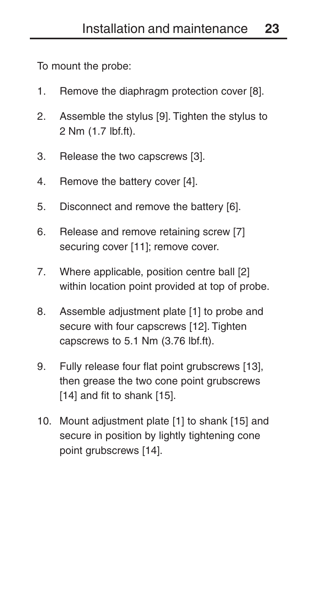To mount the probe:

- 1. Remove the diaphragm protection cover [8].
- 2. Assemble the stylus [9]. Tighten the stylus to 2 Nm (1.7 lbf.ft).
- 3. Release the two capscrews [3].
- 4. Remove the battery cover [4].
- 5. Disconnect and remove the battery [6].
- 6. Release and remove retaining screw [7] securing cover [11]; remove cover.
- 7. Where applicable, position centre ball [2] within location point provided at top of probe.
- 8. Assemble adjustment plate [1] to probe and secure with four capscrews [12]. Tighten capscrews to 5.1 Nm (3.76 lbf.ft).
- 9. Fully release four flat point grubscrews [13], then grease the two cone point grubscrews [14] and fit to shank [15].
- 10. Mount adjustment plate [1] to shank [15] and secure in position by lightly tightening cone point grubscrews [14].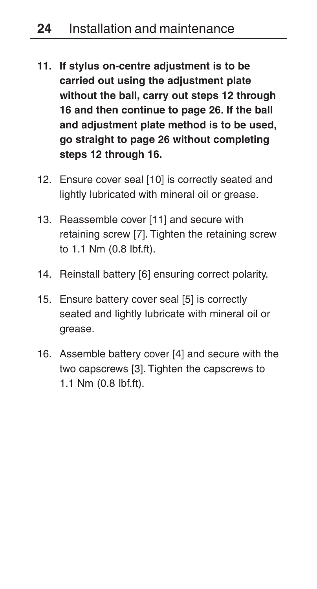- **11. If stylus on-centre adjustment is to be carried out using the adjustment plate without the ball, carry out steps 12 through 16 and then continue to page 26. If the ball and adjustment plate method is to be used, go straight to page 26 without completing steps 12 through 16.**
- 12. Ensure cover seal [10] is correctly seated and lightly lubricated with mineral oil or grease.
- 13. Reassemble cover [11] and secure with retaining screw [7]. Tighten the retaining screw to 1.1 Nm (0.8 lbf.ft).
- 14. Reinstall battery [6] ensuring correct polarity.
- 15. Ensure battery cover seal [5] is correctly seated and lightly lubricate with mineral oil or grease.
- 16. Assemble battery cover [4] and secure with the two capscrews [3]. Tighten the capscrews to 1.1 Nm (0.8 lbf.ft).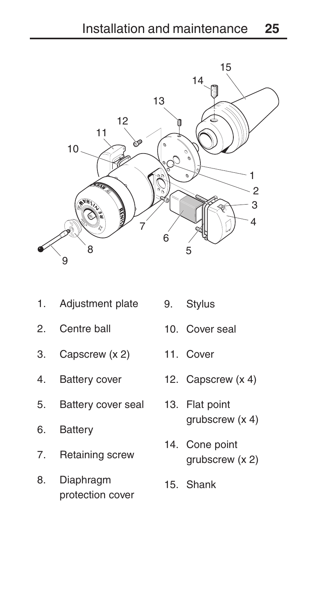

- 1. Adjustment plate
- 2. Centre ball
- 3. Capscrew (x 2)
- 
- 5. Battery cover seal
- 6. Battery
- 7. Retaining screw
- 8. Diaphragm protection cover
- Stylus
- 10. Cover seal
- 11. Cover
- 4. Battery cover 12. Capscrew (x 4)
	- 13. Flat point grubscrew (x 4)
	- 14. Cone point grubscrew (x 2)
	- 15. Shank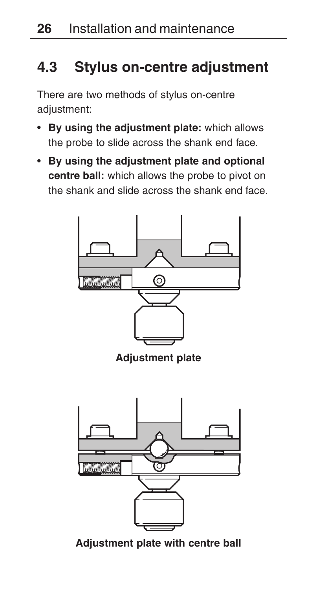### **4.3 Stylus on-centre adjustment**

There are two methods of stylus on-centre adjustment:

- **By using the adjustment plate:** which allows the probe to slide across the shank end face.
- **By using the adjustment plate and optional centre ball:** which allows the probe to pivot on the shank and slide across the shank end face.



**Adjustment plate with centre ball**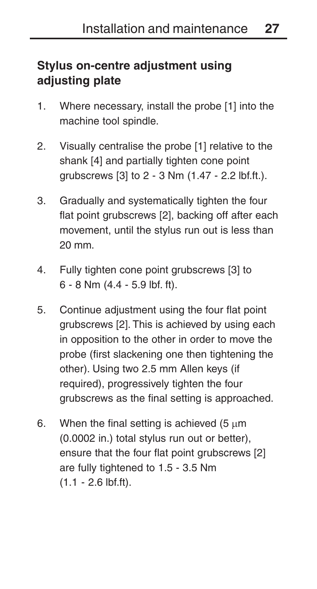### **Stylus on-centre adjustment using adjusting plate**

- 1. Where necessary, install the probe [1] into the machine tool spindle.
- 2. Visually centralise the probe [1] relative to the shank [4] and partially tighten cone point grubscrews [3] to 2 - 3 Nm (1.47 - 2.2 lbf.ft.).
- 3. Gradually and systematically tighten the four flat point grubscrews [2], backing off after each movement, until the stylus run out is less than 20 mm.
- 4. Fully tighten cone point grubscrews [3] to 6 - 8 Nm (4.4 - 5.9 lbf. ft).
- 5. Continue adjustment using the four flat point grubscrews [2]. This is achieved by using each in opposition to the other in order to move the probe (first slackening one then tightening the other). Using two 2.5 mm Allen keys (if required), progressively tighten the four grubscrews as the final setting is approached.
- 6. When the final setting is achieved (5  $\mu$ m (0.0002 in.) total stylus run out or better), ensure that the four flat point grubscrews [2] are fully tightened to 1.5 - 3.5 Nm (1.1 - 2.6 lbf.ft).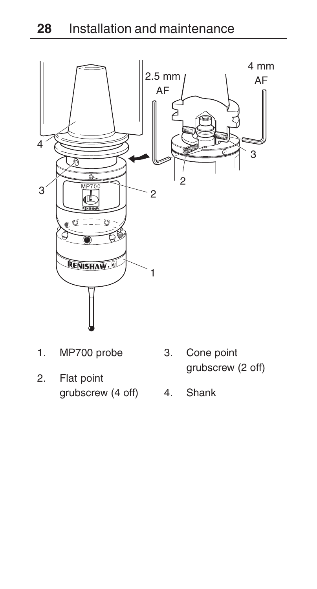

- 1. MP700 probe
- 2. Flat point grubscrew (4 off) 4. Shank
- 3. Cone point grubscrew (2 off)
	-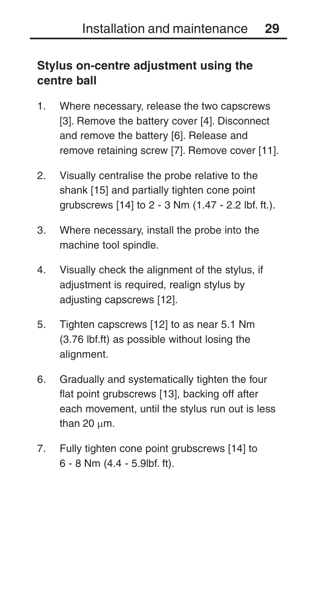### **Stylus on-centre adjustment using the centre ball**

- 1. Where necessary, release the two capscrews [3]. Remove the battery cover [4]. Disconnect and remove the battery [6]. Release and remove retaining screw [7]. Remove cover [11].
- 2. Visually centralise the probe relative to the shank [15] and partially tighten cone point grubscrews [14] to 2 - 3 Nm (1.47 - 2.2 lbf. ft.).
- 3. Where necessary, install the probe into the machine tool spindle.
- 4. Visually check the alignment of the stylus, if adjustment is required, realign stylus by adiusting capscrews [12].
- 5. Tighten capscrews [12] to as near 5.1 Nm (3.76 lbf.ft) as possible without losing the alignment.
- 6. Gradually and systematically tighten the four flat point grubscrews [13], backing off after each movement, until the stylus run out is less than  $20 \mu m$ .
- 7. Fully tighten cone point grubscrews [14] to 6 - 8 Nm (4.4 - 5.9lbf. ft).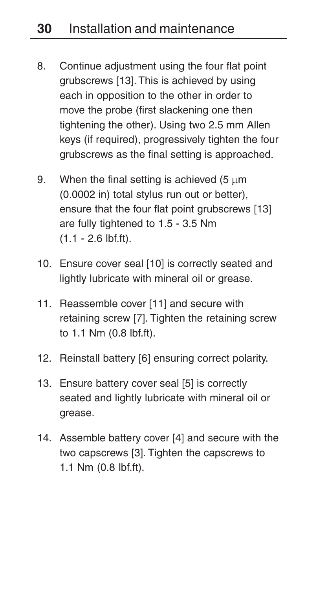- 8. Continue adjustment using the four flat point grubscrews [13]. This is achieved by using each in opposition to the other in order to move the probe (first slackening one then tightening the other). Using two 2.5 mm Allen keys (if required), progressively tighten the four grubscrews as the final setting is approached.
- 9. When the final setting is achieved  $(5 \text{ µm})$ (0.0002 in) total stylus run out or better), ensure that the four flat point grubscrews [13] are fully tightened to 1.5 - 3.5 Nm (1.1 - 2.6 lbf.ft).
- 10. Ensure cover seal [10] is correctly seated and lightly lubricate with mineral oil or grease.
- 11. Reassemble cover [11] and secure with retaining screw [7]. Tighten the retaining screw to 1.1 Nm (0.8 lbf.ft).
- 12. Reinstall battery [6] ensuring correct polarity.
- 13. Ensure battery cover seal [5] is correctly seated and lightly lubricate with mineral oil or grease.
- 14. Assemble battery cover [4] and secure with the two capscrews [3]. Tighten the capscrews to 1.1 Nm (0.8 lbf.ft).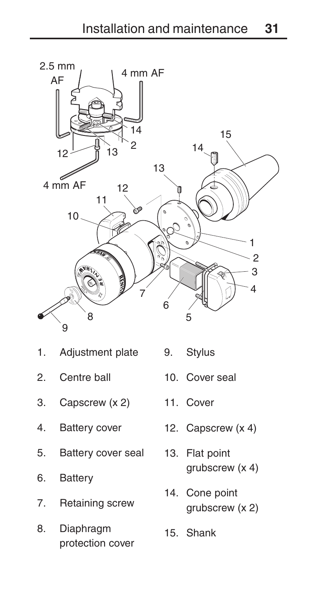

- 1. Adjustment plate
- 2. Centre ball
- 3. Capscrew (x 2)
- 
- 5. Battery cover seal 13. Flat point
- 6. Battery
- 7. Retaining screw
- 8. Diaphragm protection cover
- 9. Stylus
- 10. Cover seal
- 11. Cover
- 4. Battery cover 12. Capscrew (x 4)
	- grubscrew (x 4)
	- 14. Cone point grubscrew (x 2)
	- 15. Shank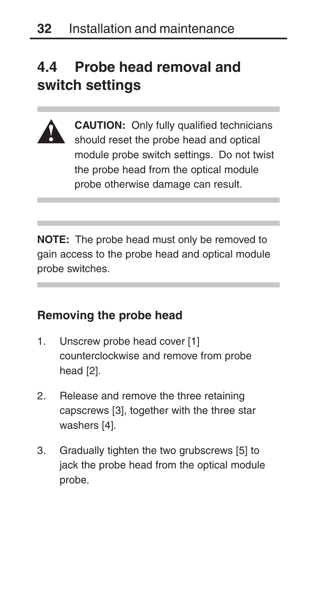# **4.4 Probe head removal and switch settings**



**CAUTION:** Only fully qualified technicians should reset the probe head and optical module probe switch settings. Do not twist the probe head from the optical module probe otherwise damage can result.

**NOTE:** The probe head must only be removed to gain access to the probe head and optical module probe switches.

#### **Removing the probe head**

- 1. Unscrew probe head cover [1] counterclockwise and remove from probe head [2].
- 2. Release and remove the three retaining capscrews [3], together with the three star washers [4].
- 3. Gradually tighten the two grubscrews [5] to jack the probe head from the optical module probe.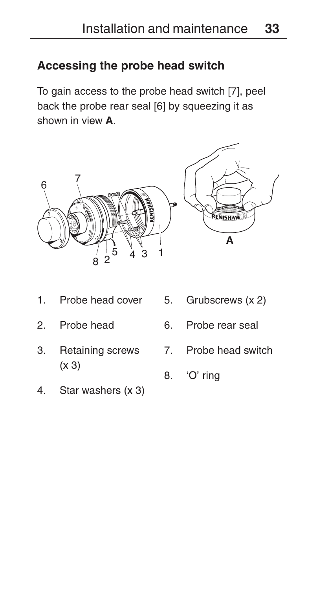### **Accessing the probe head switch**

To gain access to the probe head switch [7], peel back the probe rear seal [6] by squeezing it as shown in view **A**.



- 1. Probe head cover
- 2. Probe head
- 3. Retaining screws (x 3)
- 4. Star washers (x 3)
- 5. Grubscrews (x 2)
- 6. Probe rear seal
- 7. Probe head switch
- 8. 'O' ring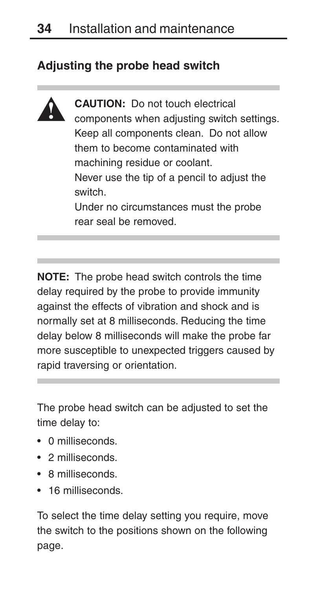### **Adjusting the probe head switch**



**CAUTION:** Do not touch electrical components when adjusting switch settings. Keep all components clean. Do not allow them to become contaminated with machining residue or coolant. Never use the tip of a pencil to adjust the switch. Under no circumstances must the probe rear seal be removed.

**NOTE:** The probe head switch controls the time delay required by the probe to provide immunity against the effects of vibration and shock and is normally set at 8 milliseconds. Reducing the time delay below 8 milliseconds will make the probe far more susceptible to unexpected triggers caused by rapid traversing or orientation.

The probe head switch can be adjusted to set the time delay to:

- 0 milliseconds.
- 2 milliseconds.
- 8 milliseconds.
- 16 milliseconds.

To select the time delay setting you require, move the switch to the positions shown on the following page.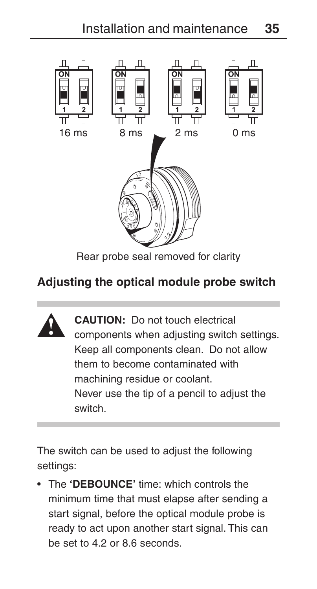

Rear probe seal removed for clarity

### **Adjusting the optical module probe switch**



**CAUTION:** Do not touch electrical components when adjusting switch settings. Keep all components clean. Do not allow them to become contaminated with machining residue or coolant. Never use the tip of a pencil to adjust the switch.

The switch can be used to adjust the following settings:

• The **'DEBOUNCE'** time: which controls the minimum time that must elapse after sending a start signal, before the optical module probe is ready to act upon another start signal. This can be set to 4.2 or 8.6 seconds.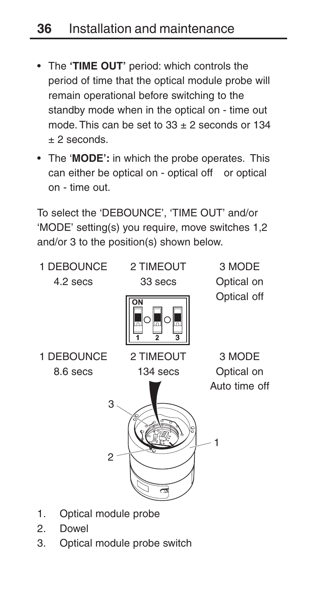- The **'TIME OUT'** period: which controls the period of time that the optical module probe will remain operational before switching to the standby mode when in the optical on - time out mode. This can be set to  $33 + 2$  seconds or  $134$  $+2$  seconds.
- The '**MODE':** in which the probe operates. This can either be optical on - optical off or optical on - time out.

To select the 'DEBOUNCE', 'TIME OUT' and/or 'MODE' setting(s) you require, move switches 1,2 and/or 3 to the position(s) shown below.

- 1  $\mathfrak{p}$ 3 1 DEBOUNCE 8.6 secs 2 TIMEOUT 134 secs 3 MODE Optical on Auto time off 1 DEBOUNCE 4.2 secs 2 TIMEOUT 33 secs 3 MODE Optical on Optical off
- 1. Optical module probe
- 2. Dowel
- 3. Optical module probe switch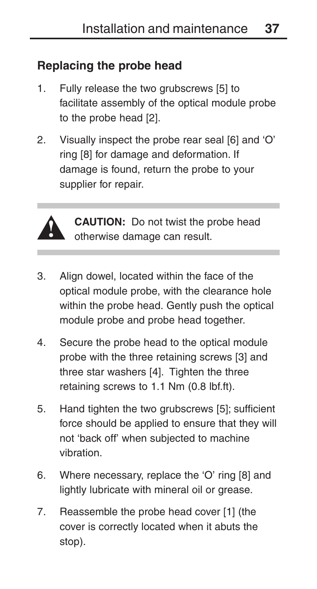### **Replacing the probe head**

- 1. Fully release the two grubscrews [5] to facilitate assembly of the optical module probe to the probe head [2].
- 2. Visually inspect the probe rear seal [6] and 'O' ring [8] for damage and deformation. If damage is found, return the probe to your supplier for repair.



**CAUTION:** Do not twist the probe head otherwise damage can result.

- 3. Align dowel, located within the face of the optical module probe, with the clearance hole within the probe head. Gently push the optical module probe and probe head together.
- 4. Secure the probe head to the optical module probe with the three retaining screws [3] and three star washers [4]. Tighten the three retaining screws to 1.1 Nm (0.8 lbf.ft).
- 5. Hand tighten the two grubscrews [5]; sufficient force should be applied to ensure that they will not 'back off' when subjected to machine vibration.
- 6. Where necessary, replace the 'O' ring [8] and lightly lubricate with mineral oil or grease.
- 7. Reassemble the probe head cover [1] (the cover is correctly located when it abuts the stop).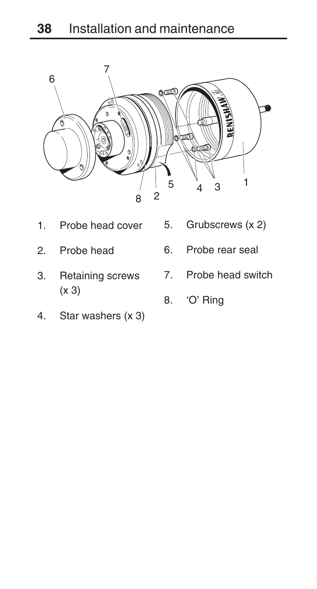

- 1. Probe head cover
- 2. Probe head
- 3. Retaining screws (x 3)
- 4. Star washers (x 3)
- 5. Grubscrews (x 2)
- 6. Probe rear seal
- 7. Probe head switch
	- 8. 'O' Ring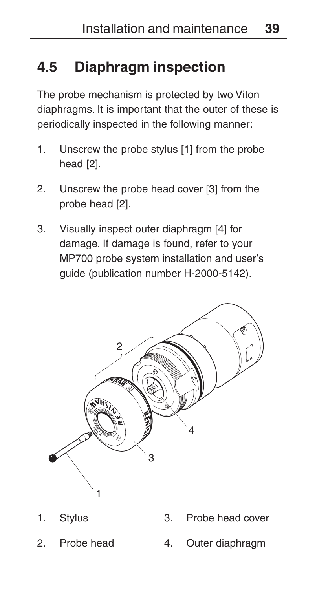# **4.5 Diaphragm inspection**

The probe mechanism is protected by two Viton diaphragms. It is important that the outer of these is periodically inspected in the following manner:

- 1. Unscrew the probe stylus [1] from the probe head [2].
- 2. Unscrew the probe head cover [3] from the probe head [2].
- 3. Visually inspect outer diaphragm [4] for damage. If damage is found, refer to your MP700 probe system installation and user's guide (publication number H-2000-5142).



- 1. Stylus
- 2. Probe head
- 3. Probe head cover
- 4. Outer diaphragm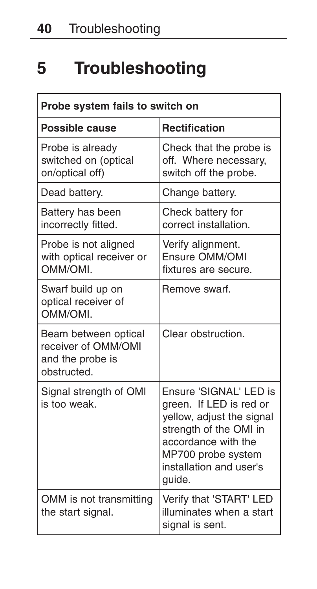# **5 Troubleshooting**

| Probe system fails to switch on                                                |                                                                                                                                                                                            |  |
|--------------------------------------------------------------------------------|--------------------------------------------------------------------------------------------------------------------------------------------------------------------------------------------|--|
| Possible cause                                                                 | <b>Rectification</b>                                                                                                                                                                       |  |
| Probe is already<br>switched on (optical<br>on/optical off)                    | Check that the probe is<br>off. Where necessary,<br>switch off the probe.                                                                                                                  |  |
| Dead battery.                                                                  | Change battery.                                                                                                                                                                            |  |
| Battery has been<br>incorrectly fitted.                                        | Check battery for<br>correct installation.                                                                                                                                                 |  |
| Probe is not aligned<br>with optical receiver or<br><b>IMO/MMO</b>             | Verify alignment.<br>Ensure OMM/OMI<br>fixtures are secure.                                                                                                                                |  |
| Swarf build up on<br>optical receiver of<br>OMM/OMI.                           | Remove swarf.                                                                                                                                                                              |  |
| Beam between optical<br>receiver of OMM/OMI<br>and the probe is<br>obstructed. | Clear obstruction.                                                                                                                                                                         |  |
| Signal strength of OMI<br>is too weak.                                         | Ensure 'SIGNAL' LED is<br>green. If LED is red or<br>yellow, adjust the signal<br>strength of the OMI in<br>accordance with the<br>MP700 probe system<br>installation and user's<br>guide. |  |
| OMM is not transmitting<br>the start signal.                                   | Verify that 'START' LED<br>illuminates when a start<br>signal is sent.                                                                                                                     |  |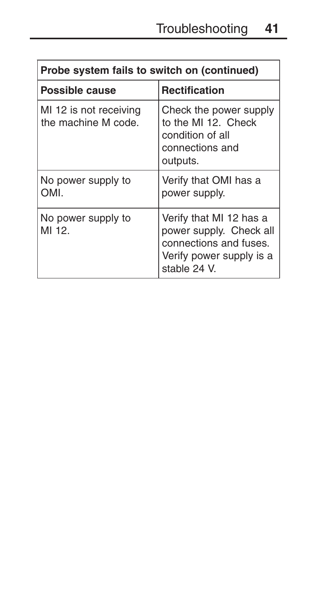| Probe system fails to switch on (continued)   |                                                                                                                          |  |
|-----------------------------------------------|--------------------------------------------------------------------------------------------------------------------------|--|
| Possible cause                                | <b>Rectification</b>                                                                                                     |  |
| MI 12 is not receiving<br>the machine M code. | Check the power supply<br>to the MI 12. Check<br>condition of all<br>connections and<br>outputs.                         |  |
| No power supply to<br>OMI.                    | Verify that OMI has a<br>power supply.                                                                                   |  |
| No power supply to<br>MI 12.                  | Verify that MI 12 has a<br>power supply. Check all<br>connections and fuses.<br>Verify power supply is a<br>stable 24 V. |  |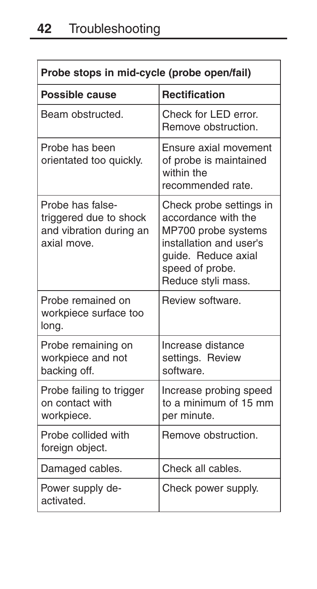| Probe stops in mid-cycle (probe open/fail)                                           |                                                                                                                                                                  |  |
|--------------------------------------------------------------------------------------|------------------------------------------------------------------------------------------------------------------------------------------------------------------|--|
| Possible cause                                                                       | <b>Rectification</b>                                                                                                                                             |  |
| Beam obstructed.                                                                     | Check for LED error.<br>Remove obstruction.                                                                                                                      |  |
| Probe has been<br>orientated too quickly.                                            | Ensure axial movement<br>of probe is maintained<br>within the<br>recommended rate.                                                                               |  |
| Probe has false-<br>triggered due to shock<br>and vibration during an<br>axial move. | Check probe settings in<br>accordance with the<br>MP700 probe systems<br>installation and user's<br>quide. Reduce axial<br>speed of probe.<br>Reduce styli mass. |  |
| Probe remained on<br>workpiece surface too<br>long.                                  | Review software.                                                                                                                                                 |  |
| Probe remaining on<br>workpiece and not<br>backing off.                              | Increase distance<br>settings. Review<br>software.                                                                                                               |  |
| Probe failing to trigger<br>on contact with<br>workpiece.                            | Increase probing speed<br>to a minimum of 15 mm<br>per minute.                                                                                                   |  |
| Probe collided with<br>foreign object.                                               | Remove obstruction.                                                                                                                                              |  |
| Damaged cables.                                                                      | Check all cables.                                                                                                                                                |  |
| Power supply de-<br>activated.                                                       | Check power supply.                                                                                                                                              |  |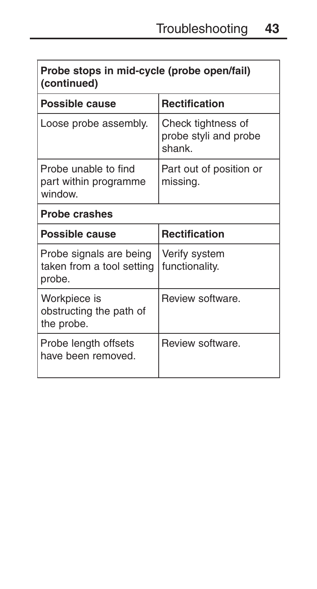| Probe stops in mid-cycle (probe open/fail)<br>(continued)      |                                                       |  |
|----------------------------------------------------------------|-------------------------------------------------------|--|
| Possible cause                                                 | <b>Rectification</b>                                  |  |
| Loose probe assembly.                                          | Check tightness of<br>probe styli and probe<br>shank. |  |
| Probe unable to find<br>part within programme<br>window.       | Part out of position or<br>missing.                   |  |
| <b>Probe crashes</b>                                           |                                                       |  |
| Possible cause                                                 | <b>Rectification</b>                                  |  |
| Probe signals are being<br>taken from a tool setting<br>probe. | Verify system<br>functionality.                       |  |
| Workpiece is<br>obstructing the path of<br>the probe.          | Review software.                                      |  |
| Probe length offsets<br>have been removed.                     | Review software.                                      |  |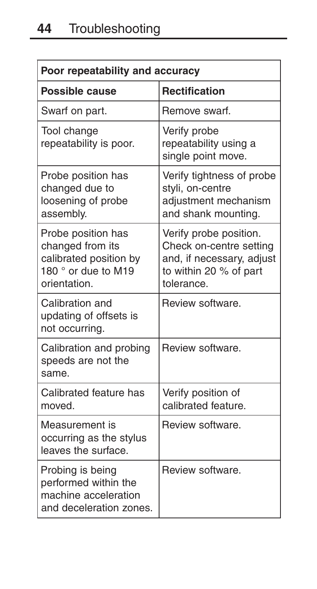| Poor repeatability and accuracy                                                                         |                                                                                                                        |
|---------------------------------------------------------------------------------------------------------|------------------------------------------------------------------------------------------------------------------------|
| Possible cause                                                                                          | <b>Rectification</b>                                                                                                   |
| Swarf on part.                                                                                          | Remove swarf.                                                                                                          |
| Tool change<br>repeatability is poor.                                                                   | Verify probe<br>repeatability using a<br>single point move.                                                            |
| Probe position has<br>changed due to<br>loosening of probe<br>assembly.                                 | Verify tightness of probe<br>styli, on-centre<br>adjustment mechanism<br>and shank mounting.                           |
| Probe position has<br>changed from its<br>calibrated position by<br>180 ° or due to M19<br>orientation. | Verify probe position.<br>Check on-centre setting<br>and, if necessary, adjust<br>to within 20 % of part<br>tolerance. |
| Calibration and<br>updating of offsets is<br>not occurring.                                             | Review software.                                                                                                       |
| Calibration and probing<br>speeds are not the<br>same.                                                  | Review software.                                                                                                       |
| Calibrated feature has<br>moved                                                                         | Verify position of<br>calibrated feature.                                                                              |
| Measurement is<br>occurring as the stylus<br>leaves the surface.                                        | Review software.                                                                                                       |
| Probing is being<br>performed within the<br>machine acceleration<br>and deceleration zones.             | Review software.                                                                                                       |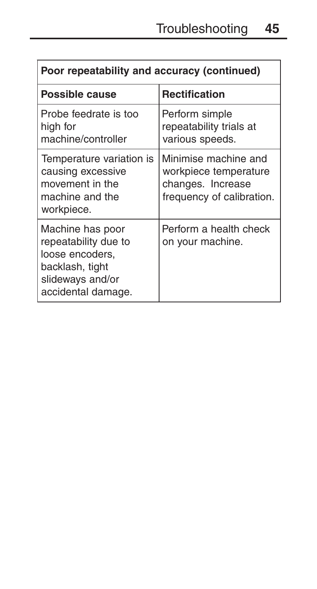| Poor repeatability and accuracy (continued)                                                                              |                                                                                                 |  |
|--------------------------------------------------------------------------------------------------------------------------|-------------------------------------------------------------------------------------------------|--|
| Possible cause                                                                                                           | <b>Rectification</b>                                                                            |  |
| Probe feedrate is too<br>high for<br>machine/controller                                                                  | Perform simple<br>repeatability trials at<br>various speeds.                                    |  |
| Temperature variation is<br>causing excessive<br>movement in the<br>machine and the<br>workpiece.                        | Minimise machine and<br>workpiece temperature<br>changes. Increase<br>frequency of calibration. |  |
| Machine has poor<br>repeatability due to<br>loose encoders,<br>backlash, tight<br>slideways and/or<br>accidental damage. | Perform a health check<br>on your machine.                                                      |  |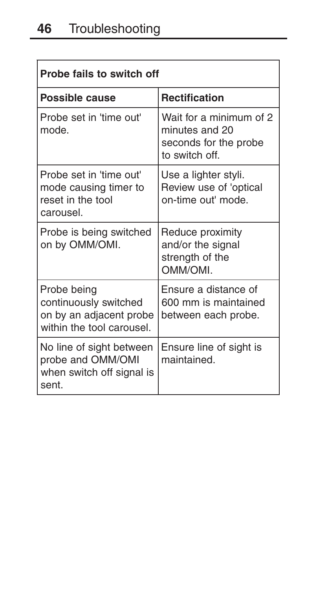| Probe fails to switch off                                                                    |                                                                                      |  |
|----------------------------------------------------------------------------------------------|--------------------------------------------------------------------------------------|--|
| Possible cause                                                                               | <b>Rectification</b>                                                                 |  |
| Probe set in 'time out'<br>mode.                                                             | Wait for a minimum of 2<br>minutes and 20<br>seconds for the probe<br>to switch off. |  |
| Probe set in 'time out'<br>mode causing timer to<br>reset in the tool<br>carousel.           | Use a lighter styli.<br>Review use of 'optical<br>on-time out' mode.                 |  |
| Probe is being switched<br>on by OMM/OMI.                                                    | Reduce proximity<br>and/or the signal<br>strength of the<br><b>OMM/OML</b>           |  |
| Probe being<br>continuously switched<br>on by an adjacent probe<br>within the tool carousel. | Ensure a distance of<br>600 mm is maintained<br>between each probe.                  |  |
| No line of sight between<br>probe and OMM/OMI<br>when switch off signal is<br>sent.          | Ensure line of sight is<br>maintained.                                               |  |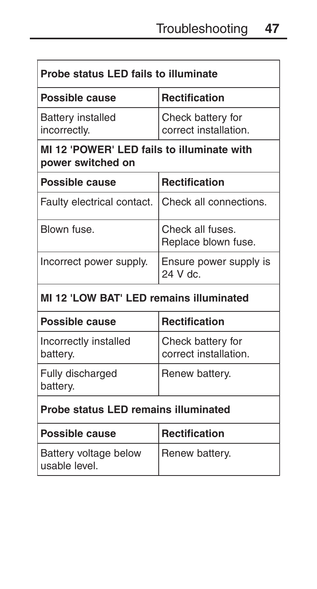| Probe status LED fails to illuminate                            |                                            |
|-----------------------------------------------------------------|--------------------------------------------|
| Possible cause                                                  | <b>Rectification</b>                       |
| Battery installed<br>incorrectly.                               | Check battery for<br>correct installation. |
| MI 12 'POWER' LED fails to illuminate with<br>power switched on |                                            |
| <b>Possible cause</b>                                           | <b>Rectification</b>                       |
| Faulty electrical contact.                                      | Check all connections.                     |
| Blown fuse.                                                     | Check all fuses.<br>Replace blown fuse.    |
| Incorrect power supply.                                         | Ensure power supply is<br>24 V dc.         |
| MI 12 'LOW BAT' LED remains illuminated                         |                                            |

| Possible cause                       | <b>Rectification</b>                       |
|--------------------------------------|--------------------------------------------|
| Incorrectly installed<br>battery.    | Check battery for<br>correct installation. |
| Fully discharged<br>battery.         | Renew battery.                             |
| Probe status LED remains illuminated |                                            |
| <b>Possible cause</b>                | Rectification                              |

| <b>Possible cause</b>                  | Rectification  |
|----------------------------------------|----------------|
| Battery voltage below<br>usable level. | Renew battery. |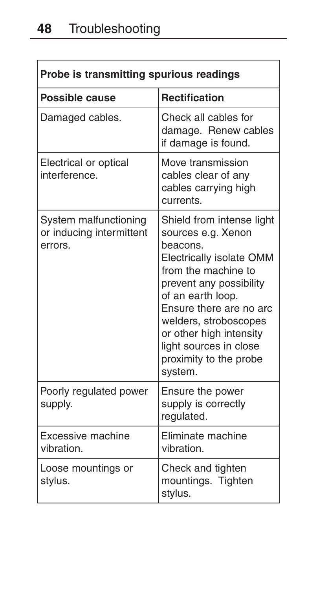| Probe is transmitting spurious readings                      |                                                                                                                                                                                                                                                                                                              |
|--------------------------------------------------------------|--------------------------------------------------------------------------------------------------------------------------------------------------------------------------------------------------------------------------------------------------------------------------------------------------------------|
| Possible cause                                               | <b>Rectification</b>                                                                                                                                                                                                                                                                                         |
| Damaged cables.                                              | Check all cables for<br>damage. Renew cables<br>if damage is found.                                                                                                                                                                                                                                          |
| Electrical or optical<br>interference.                       | Move transmission<br>cables clear of any<br>cables carrying high<br>currents.                                                                                                                                                                                                                                |
| System malfunctioning<br>or inducing intermittent<br>errors. | Shield from intense light<br>sources e.g. Xenon<br>beacons.<br>Electrically isolate OMM<br>from the machine to<br>prevent any possibility<br>of an earth loop.<br>Ensure there are no arc<br>welders, stroboscopes<br>or other high intensity<br>light sources in close<br>proximity to the probe<br>system. |
| Poorly regulated power<br>supply.                            | Ensure the power<br>supply is correctly<br>regulated.                                                                                                                                                                                                                                                        |
| Excessive machine<br>vibration.                              | Eliminate machine<br>vibration.                                                                                                                                                                                                                                                                              |
| Loose mountings or<br>stylus.                                | Check and tighten<br>mountings. Tighten<br>stylus.                                                                                                                                                                                                                                                           |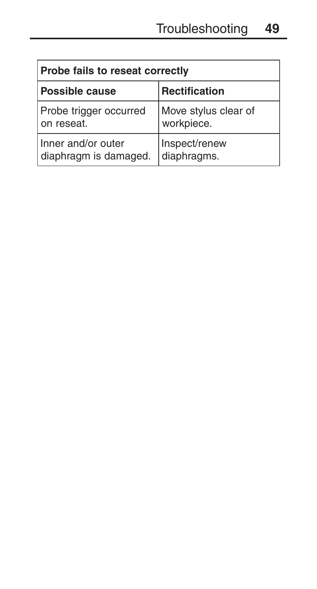| Probe fails to reseat correctly |                      |
|---------------------------------|----------------------|
| <b>Possible cause</b>           | Rectification        |
| Probe trigger occurred          | Move stylus clear of |
| on reseat.                      | workpiece.           |
| Inner and/or outer              | Inspect/renew        |
| diaphragm is damaged.           | diaphragms.          |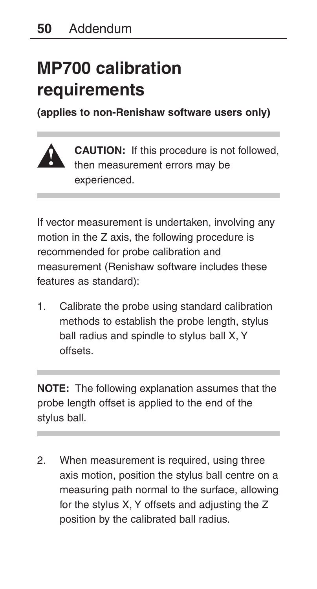# **MP700 calibration requirements**

**(applies to non-Renishaw software users only)**



**CAUTION:** If this procedure is not followed, then measurement errors may be experienced.

If vector measurement is undertaken, involving any motion in the Z axis, the following procedure is recommended for probe calibration and measurement (Renishaw software includes these features as standard):

1. Calibrate the probe using standard calibration methods to establish the probe length, stylus ball radius and spindle to stylus ball X, Y offsets.

**NOTE:** The following explanation assumes that the probe length offset is applied to the end of the stylus ball.

2. When measurement is required, using three axis motion, position the stylus ball centre on a measuring path normal to the surface, allowing for the stylus X, Y offsets and adjusting the Z position by the calibrated ball radius.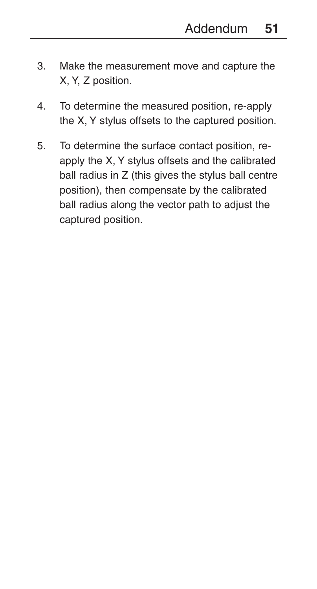- 3. Make the measurement move and capture the X, Y, Z position.
- 4. To determine the measured position, re-apply the X, Y stylus offsets to the captured position.
- 5. To determine the surface contact position, reapply the X, Y stylus offsets and the calibrated ball radius in Z (this gives the stylus ball centre position), then compensate by the calibrated ball radius along the vector path to adjust the captured position.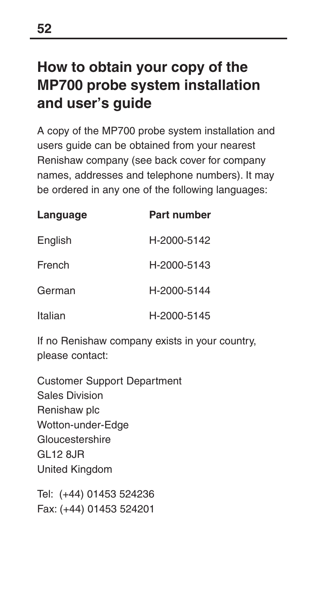# **How to obtain your copy of the MP700 probe system installation and user's guide**

A copy of the MP700 probe system installation and users guide can be obtained from your nearest Renishaw company (see back cover for company names, addresses and telephone numbers). It may be ordered in any one of the following languages:

| Language | Part number |
|----------|-------------|
| English  | H-2000-5142 |
| French   | H-2000-5143 |
| German   | H-2000-5144 |
| Italian  | H-2000-5145 |

If no Renishaw company exists in your country, please contact:

Customer Support Department Sales Division Renishaw plc Wotton-under-Edge Gloucestershire GL12 8JR United Kingdom

Tel: (+44) 01453 524236 Fax: (+44) 01453 524201